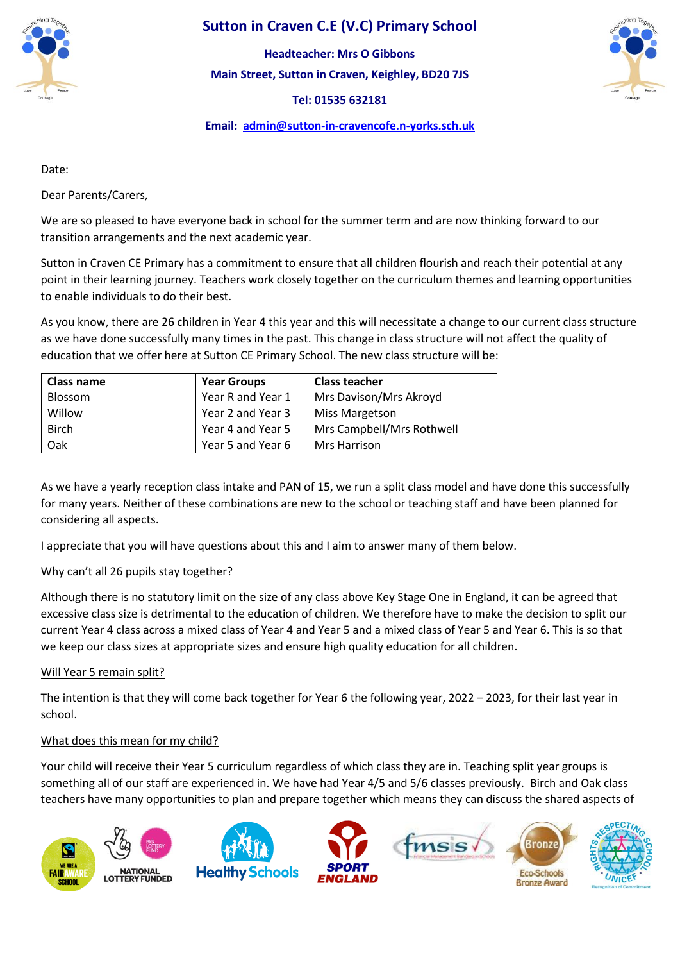

# **Sutton in Craven C.E (V.C) Primary School**

**Main Street, Sutton in Craven, Keighley, BD20 7JS Headteacher: Mrs O Gibbons**

**Tel: 01535 632181** 



# **Email: [admin@sutton-in-cravencofe.n-yorks.sch.uk](mailto:admin@sutton-in-cravencofe.n-yorks.sch.uk)**

Date:

Dear Parents/Carers,

We are so pleased to have everyone back in school for the summer term and are now thinking forward to our transition arrangements and the next academic year.

Sutton in Craven CE Primary has a commitment to ensure that all children flourish and reach their potential at any point in their learning journey. Teachers work closely together on the curriculum themes and learning opportunities to enable individuals to do their best.

As you know, there are 26 children in Year 4 this year and this will necessitate a change to our current class structure as we have done successfully many times in the past. This change in class structure will not affect the quality of education that we offer here at Sutton CE Primary School. The new class structure will be:

| <b>Class name</b> | <b>Year Groups</b> | <b>Class teacher</b>      |
|-------------------|--------------------|---------------------------|
| <b>Blossom</b>    | Year R and Year 1  | Mrs Davison/Mrs Akroyd    |
| Willow            | Year 2 and Year 3  | <b>Miss Margetson</b>     |
| <b>Birch</b>      | Year 4 and Year 5  | Mrs Campbell/Mrs Rothwell |
| Oak               | Year 5 and Year 6  | Mrs Harrison              |

As we have a yearly reception class intake and PAN of 15, we run a split class model and have done this successfully for many years. Neither of these combinations are new to the school or teaching staff and have been planned for considering all aspects.

I appreciate that you will have questions about this and I aim to answer many of them below.

# Why can't all 26 pupils stay together?

Although there is no statutory limit on the size of any class above Key Stage One in England, it can be agreed that excessive class size is detrimental to the education of children. We therefore have to make the decision to split our current Year 4 class across a mixed class of Year 4 and Year 5 and a mixed class of Year 5 and Year 6. This is so that we keep our class sizes at appropriate sizes and ensure high quality education for all children.

# Will Year 5 remain split?

The intention is that they will come back together for Year 6 the following year, 2022 – 2023, for their last year in school.

# What does this mean for my child?

Your child will receive their Year 5 curriculum regardless of which class they are in. Teaching split year groups is something all of our staff are experienced in. We have had Year 4/5 and 5/6 classes previously. Birch and Oak class teachers have many opportunities to plan and prepare together which means they can discuss the shared aspects of